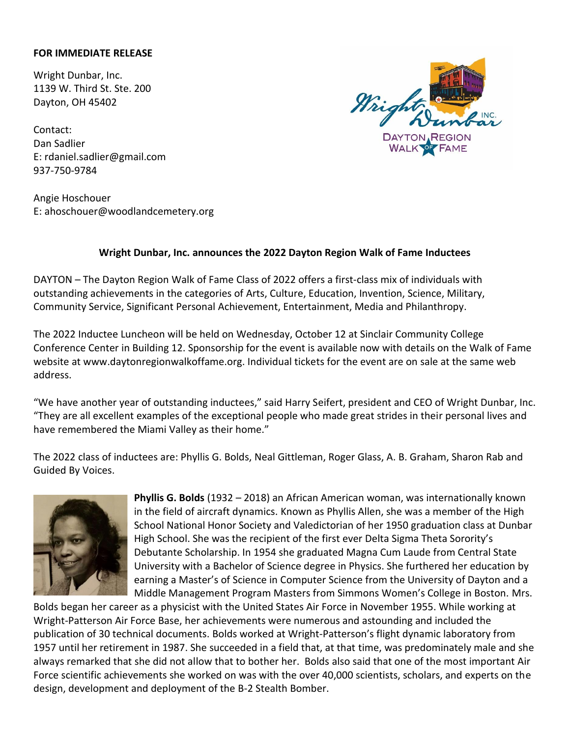## **FOR IMMEDIATE RELEASE**

Wright Dunbar, Inc. 1139 W. Third St. Ste. 200 Dayton, OH 45402

Contact: Dan Sadlier E: rdaniel.sadlier@gmail.com 937-750-9784

Angie Hoschouer E: ahoschouer@woodlandcemetery.org



## **Wright Dunbar, Inc. announces the 2022 Dayton Region Walk of Fame Inductees**

DAYTON – The Dayton Region Walk of Fame Class of 2022 offers a first-class mix of individuals with outstanding achievements in the categories of Arts, Culture, Education, Invention, Science, Military, Community Service, Significant Personal Achievement, Entertainment, Media and Philanthropy.

The 2022 Inductee Luncheon will be held on Wednesday, October 12 at Sinclair Community College Conference Center in Building 12. Sponsorship for the event is available now with details on the Walk of Fame website at www.daytonregionwalkoffame.org. Individual tickets for the event are on sale at the same web address.

"We have another year of outstanding inductees," said Harry Seifert, president and CEO of Wright Dunbar, Inc. "They are all excellent examples of the exceptional people who made great strides in their personal lives and have remembered the Miami Valley as their home."

The 2022 class of inductees are: Phyllis G. Bolds, Neal Gittleman, Roger Glass, A. B. Graham, Sharon Rab and Guided By Voices.



**Phyllis G. Bolds** (1932 – 2018) an African American woman, was internationally known in the field of aircraft dynamics. Known as Phyllis Allen, she was a member of the High School National Honor Society and Valedictorian of her 1950 graduation class at Dunbar High School. She was the recipient of the first ever Delta Sigma Theta Sorority's Debutante Scholarship. In 1954 she graduated Magna Cum Laude from Central State University with a Bachelor of Science degree in Physics. She furthered her education by earning a Master's of Science in Computer Science from the University of Dayton and a Middle Management Program Masters from Simmons Women's College in Boston. Mrs.

Bolds began her career as a physicist with the United States Air Force in November 1955. While working at Wright-Patterson Air Force Base, her achievements were numerous and astounding and included the publication of 30 technical documents. Bolds worked at Wright-Patterson's flight dynamic laboratory from 1957 until her retirement in 1987. She succeeded in a field that, at that time, was predominately male and she always remarked that she did not allow that to bother her. Bolds also said that one of the most important Air Force scientific achievements she worked on was with the over 40,000 scientists, scholars, and experts on the design, development and deployment of the B-2 Stealth Bomber.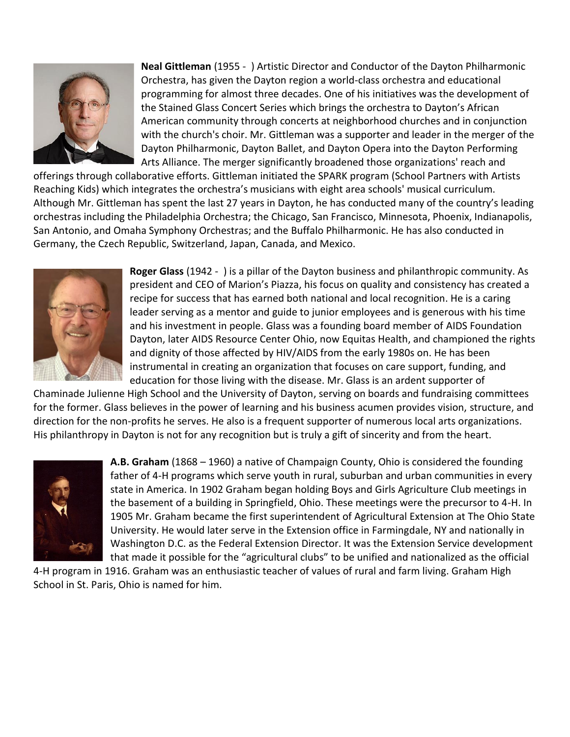

**Neal Gittleman** (1955 - ) Artistic Director and Conductor of the Dayton Philharmonic Orchestra, has given the Dayton region a world-class orchestra and educational programming for almost three decades. One of his initiatives was the development of the Stained Glass Concert Series which brings the orchestra to Dayton's African American community through concerts at neighborhood churches and in conjunction with the church's choir. Mr. Gittleman was a supporter and leader in the merger of the Dayton Philharmonic, Dayton Ballet, and Dayton Opera into the Dayton Performing Arts Alliance. The merger significantly broadened those organizations' reach and

offerings through collaborative efforts. Gittleman initiated the SPARK program (School Partners with Artists Reaching Kids) which integrates the orchestra's musicians with eight area schools' musical curriculum. Although Mr. Gittleman has spent the last 27 years in Dayton, he has conducted many of the country's leading orchestras including the Philadelphia Orchestra; the Chicago, San Francisco, Minnesota, Phoenix, Indianapolis, San Antonio, and Omaha Symphony Orchestras; and the Buffalo Philharmonic. He has also conducted in Germany, the Czech Republic, Switzerland, Japan, Canada, and Mexico.



**Roger Glass** (1942 - ) is a pillar of the Dayton business and philanthropic community. As president and CEO of Marion's Piazza, his focus on quality and consistency has created a recipe for success that has earned both national and local recognition. He is a caring leader serving as a mentor and guide to junior employees and is generous with his time and his investment in people. Glass was a founding board member of AIDS Foundation Dayton, later AIDS Resource Center Ohio, now Equitas Health, and championed the rights and dignity of those affected by HIV/AIDS from the early 1980s on. He has been instrumental in creating an organization that focuses on care support, funding, and education for those living with the disease. Mr. Glass is an ardent supporter of

Chaminade Julienne High School and the University of Dayton, serving on boards and fundraising committees for the former. Glass believes in the power of learning and his business acumen provides vision, structure, and direction for the non-profits he serves. He also is a frequent supporter of numerous local arts organizations. His philanthropy in Dayton is not for any recognition but is truly a gift of sincerity and from the heart.



**A.B. Graham** (1868 – 1960) a native of Champaign County, Ohio is considered the founding father of 4-H programs which serve youth in rural, suburban and urban communities in every state in America. In 1902 Graham began holding Boys and Girls Agriculture Club meetings in the basement of a building in Springfield, Ohio. These meetings were the precursor to 4-H. In 1905 Mr. Graham became the first superintendent of Agricultural Extension at The Ohio State University. He would later serve in the Extension office in Farmingdale, NY and nationally in Washington D.C. as the Federal Extension Director. It was the Extension Service development that made it possible for the "agricultural clubs" to be unified and nationalized as the official

4-H program in 1916. Graham was an enthusiastic teacher of values of rural and farm living. Graham High School in St. Paris, Ohio is named for him.